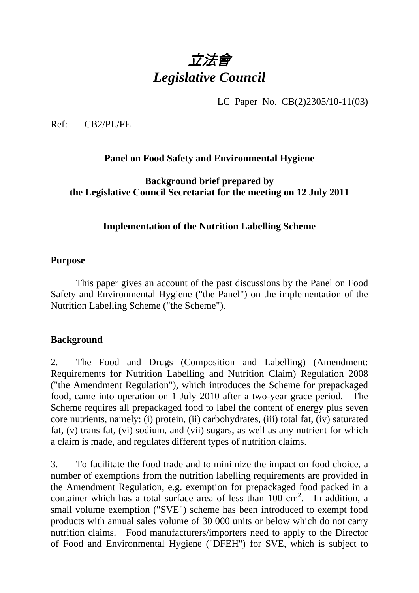# 立法會 *Legislative Council*

LC Paper No. CB(2)2305/10-11(03)

Ref: CB2/PL/FE

**Panel on Food Safety and Environmental Hygiene** 

**Background brief prepared by the Legislative Council Secretariat for the meeting on 12 July 2011** 

## **Implementation of the Nutrition Labelling Scheme**

#### **Purpose**

This paper gives an account of the past discussions by the Panel on Food Safety and Environmental Hygiene ("the Panel") on the implementation of the Nutrition Labelling Scheme ("the Scheme").

#### **Background**

2. The Food and Drugs (Composition and Labelling) (Amendment: Requirements for Nutrition Labelling and Nutrition Claim) Regulation 2008 ("the Amendment Regulation"), which introduces the Scheme for prepackaged food, came into operation on 1 July 2010 after a two-year grace period. The Scheme requires all prepackaged food to label the content of energy plus seven core nutrients, namely: (i) protein, (ii) carbohydrates, (iii) total fat, (iv) saturated fat, (v) trans fat, (vi) sodium, and (vii) sugars, as well as any nutrient for which a claim is made, and regulates different types of nutrition claims.

3. To facilitate the food trade and to minimize the impact on food choice, a number of exemptions from the nutrition labelling requirements are provided in the Amendment Regulation, e.g. exemption for prepackaged food packed in a container which has a total surface area of less than 100 cm<sup>2</sup>. In addition, a small volume exemption ("SVE") scheme has been introduced to exempt food products with annual sales volume of 30 000 units or below which do not carry nutrition claims. Food manufacturers/importers need to apply to the Director of Food and Environmental Hygiene ("DFEH") for SVE, which is subject to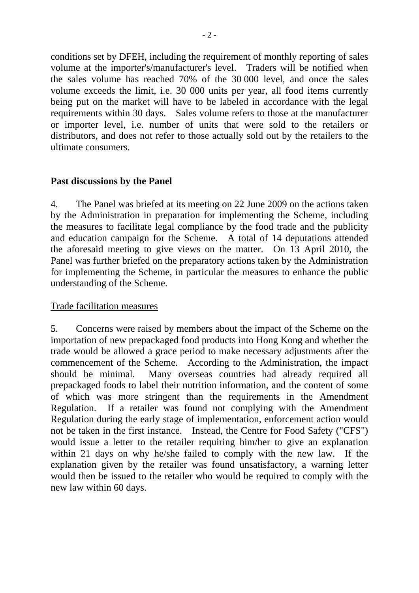conditions set by DFEH, including the requirement of monthly reporting of sales volume at the importer's/manufacturer's level. Traders will be notified when the sales volume has reached 70% of the 30 000 level, and once the sales volume exceeds the limit, i.e. 30 000 units per year, all food items currently being put on the market will have to be labeled in accordance with the legal requirements within 30 days. Sales volume refers to those at the manufacturer or importer level, i.e. number of units that were sold to the retailers or distributors, and does not refer to those actually sold out by the retailers to the ultimate consumers.

### **Past discussions by the Panel**

4. The Panel was briefed at its meeting on 22 June 2009 on the actions taken by the Administration in preparation for implementing the Scheme, including the measures to facilitate legal compliance by the food trade and the publicity and education campaign for the Scheme. A total of 14 deputations attended the aforesaid meeting to give views on the matter. On 13 April 2010, the Panel was further briefed on the preparatory actions taken by the Administration for implementing the Scheme, in particular the measures to enhance the public understanding of the Scheme.

#### Trade facilitation measures

5. Concerns were raised by members about the impact of the Scheme on the importation of new prepackaged food products into Hong Kong and whether the trade would be allowed a grace period to make necessary adjustments after the commencement of the Scheme. According to the Administration, the impact should be minimal. Many overseas countries had already required all prepackaged foods to label their nutrition information, and the content of some of which was more stringent than the requirements in the Amendment Regulation. If a retailer was found not complying with the Amendment Regulation during the early stage of implementation, enforcement action would not be taken in the first instance. Instead, the Centre for Food Safety ("CFS") would issue a letter to the retailer requiring him/her to give an explanation within 21 days on why he/she failed to comply with the new law. If the explanation given by the retailer was found unsatisfactory, a warning letter would then be issued to the retailer who would be required to comply with the new law within 60 days.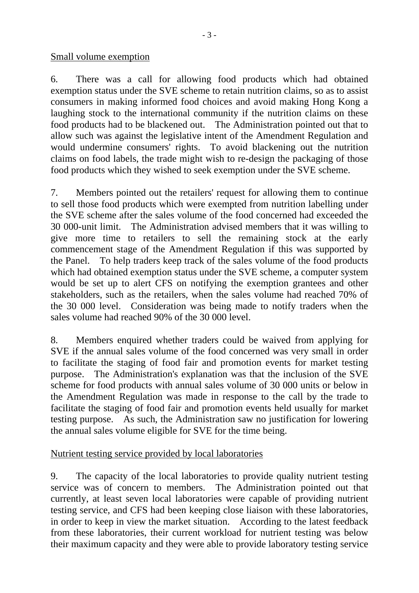Small volume exemption

6. There was a call for allowing food products which had obtained exemption status under the SVE scheme to retain nutrition claims, so as to assist consumers in making informed food choices and avoid making Hong Kong a laughing stock to the international community if the nutrition claims on these food products had to be blackened out. The Administration pointed out that to allow such was against the legislative intent of the Amendment Regulation and would undermine consumers' rights. To avoid blackening out the nutrition claims on food labels, the trade might wish to re-design the packaging of those food products which they wished to seek exemption under the SVE scheme.

7. Members pointed out the retailers' request for allowing them to continue to sell those food products which were exempted from nutrition labelling under the SVE scheme after the sales volume of the food concerned had exceeded the 30 000-unit limit. The Administration advised members that it was willing to give more time to retailers to sell the remaining stock at the early commencement stage of the Amendment Regulation if this was supported by the Panel. To help traders keep track of the sales volume of the food products which had obtained exemption status under the SVE scheme, a computer system would be set up to alert CFS on notifying the exemption grantees and other stakeholders, such as the retailers, when the sales volume had reached 70% of the 30 000 level. Consideration was being made to notify traders when the sales volume had reached 90% of the 30 000 level.

8. Members enquired whether traders could be waived from applying for SVE if the annual sales volume of the food concerned was very small in order to facilitate the staging of food fair and promotion events for market testing purpose. The Administration's explanation was that the inclusion of the SVE scheme for food products with annual sales volume of 30 000 units or below in the Amendment Regulation was made in response to the call by the trade to facilitate the staging of food fair and promotion events held usually for market testing purpose. As such, the Administration saw no justification for lowering the annual sales volume eligible for SVE for the time being.

#### Nutrient testing service provided by local laboratories

9. The capacity of the local laboratories to provide quality nutrient testing service was of concern to members. The Administration pointed out that currently, at least seven local laboratories were capable of providing nutrient testing service, and CFS had been keeping close liaison with these laboratories, in order to keep in view the market situation. According to the latest feedback from these laboratories, their current workload for nutrient testing was below their maximum capacity and they were able to provide laboratory testing service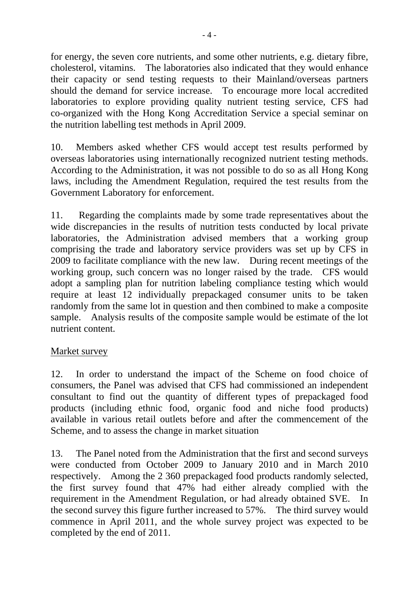for energy, the seven core nutrients, and some other nutrients, e.g. dietary fibre, cholesterol, vitamins. The laboratories also indicated that they would enhance their capacity or send testing requests to their Mainland/overseas partners should the demand for service increase. To encourage more local accredited laboratories to explore providing quality nutrient testing service, CFS had co-organized with the Hong Kong Accreditation Service a special seminar on the nutrition labelling test methods in April 2009.

10. Members asked whether CFS would accept test results performed by overseas laboratories using internationally recognized nutrient testing methods. According to the Administration, it was not possible to do so as all Hong Kong laws, including the Amendment Regulation, required the test results from the Government Laboratory for enforcement.

11. Regarding the complaints made by some trade representatives about the wide discrepancies in the results of nutrition tests conducted by local private laboratories, the Administration advised members that a working group comprising the trade and laboratory service providers was set up by CFS in 2009 to facilitate compliance with the new law. During recent meetings of the working group, such concern was no longer raised by the trade. CFS would adopt a sampling plan for nutrition labeling compliance testing which would require at least 12 individually prepackaged consumer units to be taken randomly from the same lot in question and then combined to make a composite sample. Analysis results of the composite sample would be estimate of the lot nutrient content.

#### Market survey

12. In order to understand the impact of the Scheme on food choice of consumers, the Panel was advised that CFS had commissioned an independent consultant to find out the quantity of different types of prepackaged food products (including ethnic food, organic food and niche food products) available in various retail outlets before and after the commencement of the Scheme, and to assess the change in market situation

13. The Panel noted from the Administration that the first and second surveys were conducted from October 2009 to January 2010 and in March 2010 respectively. Among the 2 360 prepackaged food products randomly selected, the first survey found that 47% had either already complied with the requirement in the Amendment Regulation, or had already obtained SVE. In the second survey this figure further increased to 57%. The third survey would commence in April 2011, and the whole survey project was expected to be completed by the end of 2011.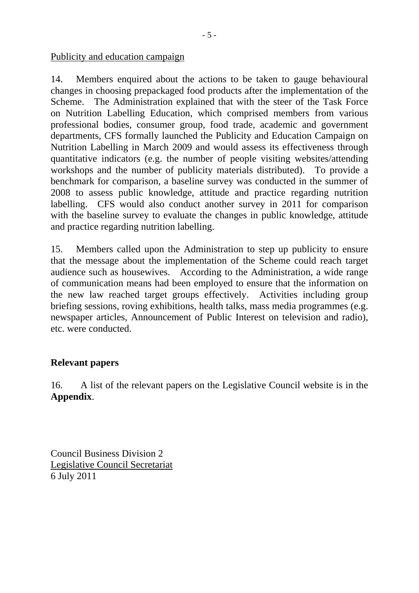Publicity and education campaign

14. Members enquired about the actions to be taken to gauge behavioural changes in choosing prepackaged food products after the implementation of the Scheme. The Administration explained that with the steer of the Task Force on Nutrition Labelling Education, which comprised members from various professional bodies, consumer group, food trade, academic and government departments, CFS formally launched the Publicity and Education Campaign on Nutrition Labelling in March 2009 and would assess its effectiveness through quantitative indicators (e.g. the number of people visiting websites/attending workshops and the number of publicity materials distributed). To provide a benchmark for comparison, a baseline survey was conducted in the summer of 2008 to assess public knowledge, attitude and practice regarding nutrition labelling. CFS would also conduct another survey in 2011 for comparison with the baseline survey to evaluate the changes in public knowledge, attitude and practice regarding nutrition labelling.

15. Members called upon the Administration to step up publicity to ensure that the message about the implementation of the Scheme could reach target audience such as housewives. According to the Administration, a wide range of communication means had been employed to ensure that the information on the new law reached target groups effectively. Activities including group briefing sessions, roving exhibitions, health talks, mass media programmes (e.g. newspaper articles, Announcement of Public Interest on television and radio), etc. were conducted.

#### **Relevant papers**

16. A list of the relevant papers on the Legislative Council website is in the **Appendix**.

Council Business Division 2 Legislative Council Secretariat 6 July 2011